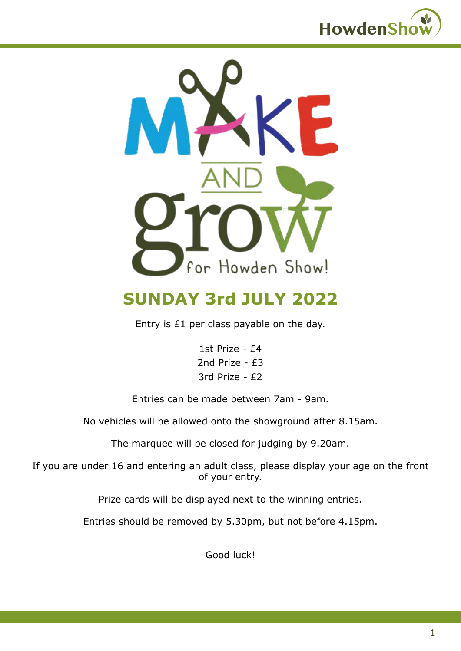



## **SUNDAY 3rd JULY 2022**

Entry is £1 per class payable on the day.

1st Prize - £4 2nd Prize - £3 3rd Prize - £2

Entries can be made between 7am - 9am.

No vehicles will be allowed onto the showground after 8.15am.

The marquee will be closed for judging by 9.20am.

If you are under 16 and entering an adult class, please display your age on the front of your entry.

Prize cards will be displayed next to the winning entries.

Entries should be removed by 5.30pm, but not before 4.15pm.

Good luck!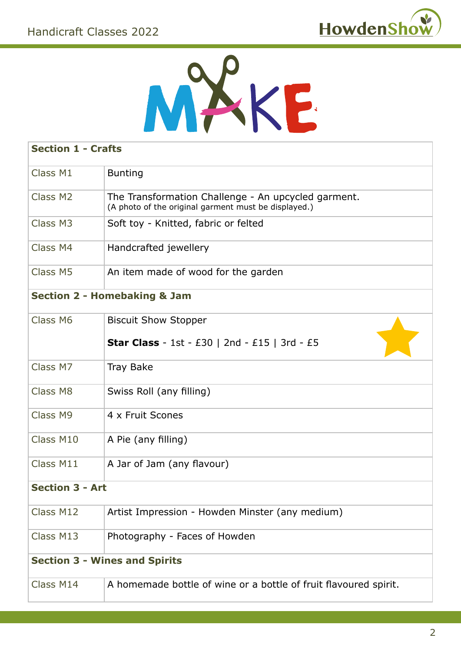



| <b>Section 1 - Crafts</b>               |                                                                                                             |  |
|-----------------------------------------|-------------------------------------------------------------------------------------------------------------|--|
| Class M1                                | <b>Bunting</b>                                                                                              |  |
| Class M2                                | The Transformation Challenge - An upcycled garment.<br>(A photo of the original garment must be displayed.) |  |
| Class M3                                | Soft toy - Knitted, fabric or felted                                                                        |  |
| Class M4                                | Handcrafted jewellery                                                                                       |  |
| Class M5                                | An item made of wood for the garden                                                                         |  |
| <b>Section 2 - Homebaking &amp; Jam</b> |                                                                                                             |  |
| Class M6                                | <b>Biscuit Show Stopper</b>                                                                                 |  |
|                                         | <b>Star Class</b> - 1st - £30   2nd - £15   3rd - £5                                                        |  |
| Class M7                                | <b>Tray Bake</b>                                                                                            |  |
| Class M8                                | Swiss Roll (any filling)                                                                                    |  |
| Class M9                                | 4 x Fruit Scones                                                                                            |  |
| Class M10                               | A Pie (any filling)                                                                                         |  |
| Class M11                               | A Jar of Jam (any flavour)                                                                                  |  |
| <b>Section 3 - Art</b>                  |                                                                                                             |  |
| Class M12                               | Artist Impression - Howden Minster (any medium)                                                             |  |
| Class M13                               | Photography - Faces of Howden                                                                               |  |
| <b>Section 3 - Wines and Spirits</b>    |                                                                                                             |  |
| Class M14                               | A homemade bottle of wine or a bottle of fruit flavoured spirit.                                            |  |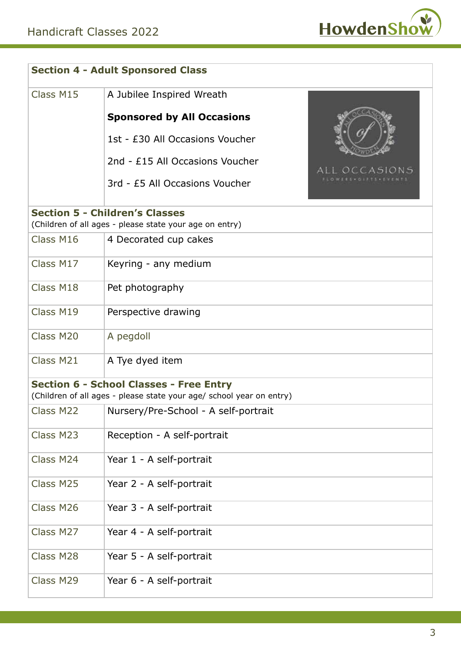

| <b>Section 4 - Adult Sponsored Class</b>                                                                               |                                      |              |
|------------------------------------------------------------------------------------------------------------------------|--------------------------------------|--------------|
| Class M15                                                                                                              | A Jubilee Inspired Wreath            |              |
|                                                                                                                        | <b>Sponsored by All Occasions</b>    |              |
|                                                                                                                        | 1st - £30 All Occasions Voucher      |              |
|                                                                                                                        | 2nd - £15 All Occasions Voucher      | LL OCCASIONS |
|                                                                                                                        | 3rd - £5 All Occasions Voucher       |              |
| <b>Section 5 - Children's Classes</b><br>(Children of all ages - please state your age on entry)                       |                                      |              |
| Class M16                                                                                                              | 4 Decorated cup cakes                |              |
| Class M17                                                                                                              | Keyring - any medium                 |              |
| Class M18                                                                                                              | Pet photography                      |              |
| Class M19                                                                                                              | Perspective drawing                  |              |
| Class M20                                                                                                              | A pegdoll                            |              |
| Class M21                                                                                                              | A Tye dyed item                      |              |
| <b>Section 6 - School Classes - Free Entry</b><br>(Children of all ages - please state your age/ school year on entry) |                                      |              |
| Class M22                                                                                                              | Nursery/Pre-School - A self-portrait |              |
| Class M23                                                                                                              | Reception - A self-portrait          |              |
| Class M24                                                                                                              | Year 1 - A self-portrait             |              |
| Class M25                                                                                                              | Year 2 - A self-portrait             |              |
| Class M26                                                                                                              | Year 3 - A self-portrait             |              |
| Class M27                                                                                                              | Year 4 - A self-portrait             |              |
| Class M28                                                                                                              | Year 5 - A self-portrait             |              |
| Class M29                                                                                                              | Year 6 - A self-portrait             |              |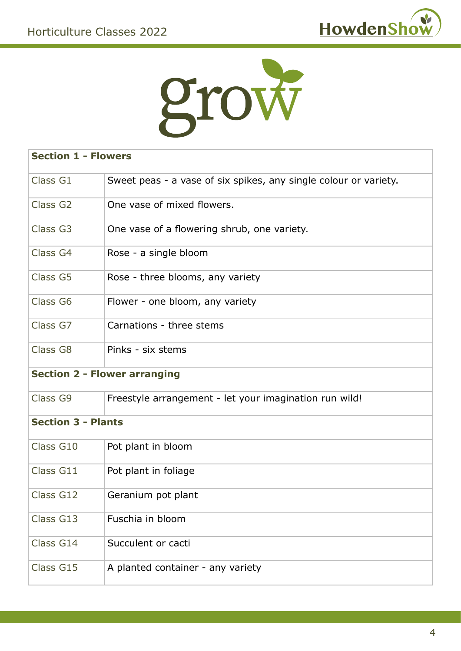



| <b>Section 1 - Flowers</b>          |                                                                  |  |
|-------------------------------------|------------------------------------------------------------------|--|
| Class G1                            | Sweet peas - a vase of six spikes, any single colour or variety. |  |
| Class G <sub>2</sub>                | One vase of mixed flowers.                                       |  |
| Class G3                            | One vase of a flowering shrub, one variety.                      |  |
| Class G4                            | Rose - a single bloom                                            |  |
| Class G5                            | Rose - three blooms, any variety                                 |  |
| Class G6                            | Flower - one bloom, any variety                                  |  |
| Class G7                            | Carnations - three stems                                         |  |
| Class G8                            | Pinks - six stems                                                |  |
| <b>Section 2 - Flower arranging</b> |                                                                  |  |
|                                     |                                                                  |  |
| Class G9                            | Freestyle arrangement - let your imagination run wild!           |  |
| <b>Section 3 - Plants</b>           |                                                                  |  |
| Class G10                           | Pot plant in bloom                                               |  |
| Class G11                           | Pot plant in foliage                                             |  |
| Class G12                           | Geranium pot plant                                               |  |
| Class G13                           | Fuschia in bloom                                                 |  |
| Class G14                           | Succulent or cacti                                               |  |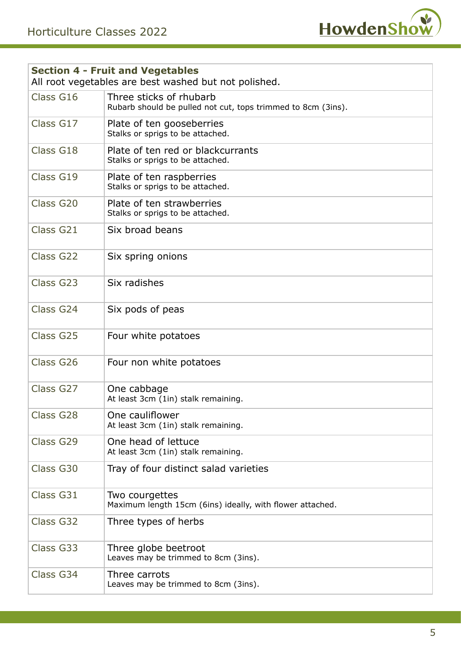

| <b>Section 4 - Fruit and Vegetables</b><br>All root vegetables are best washed but not polished. |                                                                                         |  |
|--------------------------------------------------------------------------------------------------|-----------------------------------------------------------------------------------------|--|
| Class G16                                                                                        | Three sticks of rhubarb<br>Rubarb should be pulled not cut, tops trimmed to 8cm (3ins). |  |
| Class G17                                                                                        | Plate of ten gooseberries<br>Stalks or sprigs to be attached.                           |  |
| Class G18                                                                                        | Plate of ten red or blackcurrants<br>Stalks or sprigs to be attached.                   |  |
| Class G19                                                                                        | Plate of ten raspberries<br>Stalks or sprigs to be attached.                            |  |
| Class G20                                                                                        | Plate of ten strawberries<br>Stalks or sprigs to be attached.                           |  |
| Class G21                                                                                        | Six broad beans                                                                         |  |
| Class G22                                                                                        | Six spring onions                                                                       |  |
| Class G23                                                                                        | Six radishes                                                                            |  |
| Class G24                                                                                        | Six pods of peas                                                                        |  |
| Class G25                                                                                        | Four white potatoes                                                                     |  |
| Class G26                                                                                        | Four non white potatoes                                                                 |  |
| Class G27                                                                                        | One cabbage<br>At least 3cm (1in) stalk remaining.                                      |  |
| Class G28                                                                                        | One cauliflower<br>At least 3cm (1in) stalk remaining.                                  |  |
| Class G29                                                                                        | One head of lettuce<br>At least 3cm (1in) stalk remaining.                              |  |
| Class G30                                                                                        | Tray of four distinct salad varieties                                                   |  |
| Class G31                                                                                        | Two courgettes<br>Maximum length 15cm (6ins) ideally, with flower attached.             |  |
| Class G32                                                                                        | Three types of herbs                                                                    |  |
| Class G33                                                                                        | Three globe beetroot<br>Leaves may be trimmed to 8cm (3ins).                            |  |
| Class G34                                                                                        | Three carrots<br>Leaves may be trimmed to 8cm (3ins).                                   |  |